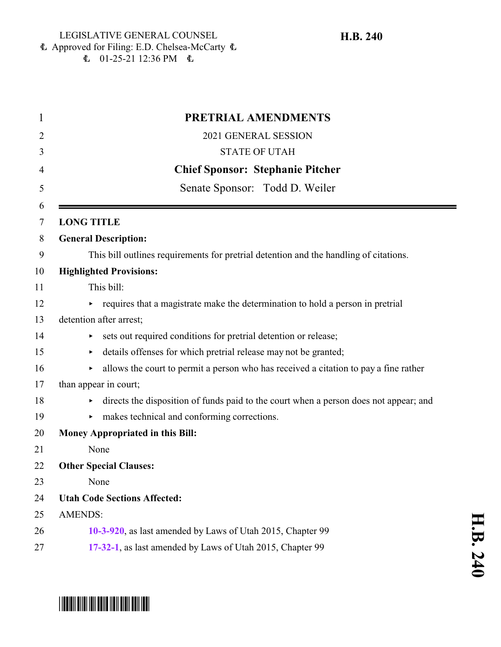$\text{L}$  01-25-21 12:36 PM  $\text{L}$ 

| 1              | PRETRIAL AMENDMENTS                                                                        |
|----------------|--------------------------------------------------------------------------------------------|
| $\overline{2}$ | 2021 GENERAL SESSION                                                                       |
| 3              | <b>STATE OF UTAH</b>                                                                       |
| 4              | <b>Chief Sponsor: Stephanie Pitcher</b>                                                    |
| 5              | Senate Sponsor: Todd D. Weiler                                                             |
| 6<br>$\tau$    | <b>LONG TITLE</b>                                                                          |
| 8              | <b>General Description:</b>                                                                |
| 9              | This bill outlines requirements for pretrial detention and the handling of citations.      |
| 10             | <b>Highlighted Provisions:</b>                                                             |
| 11             | This bill:                                                                                 |
| 12             | requires that a magistrate make the determination to hold a person in pretrial             |
| 13             | detention after arrest;                                                                    |
| 14             | sets out required conditions for pretrial detention or release;                            |
| 15             | details offenses for which pretrial release may not be granted;<br>▶                       |
| 16             | allows the court to permit a person who has received a citation to pay a fine rather<br>▶  |
| 17             | than appear in court;                                                                      |
| 18             | directs the disposition of funds paid to the court when a person does not appear; and<br>▶ |
| 19             | makes technical and conforming corrections.<br>Þ.                                          |
| 20             | <b>Money Appropriated in this Bill:</b>                                                    |
| 21             | None                                                                                       |
| 22             | <b>Other Special Clauses:</b>                                                              |
| 23             | None                                                                                       |
| 24             | <b>Utah Code Sections Affected:</b>                                                        |
| 25             | <b>AMENDS:</b>                                                                             |
| 26             | 10-3-920, as last amended by Laws of Utah 2015, Chapter 99                                 |
| 27             | 17-32-1, as last amended by Laws of Utah 2015, Chapter 99                                  |

# \*HB0240\*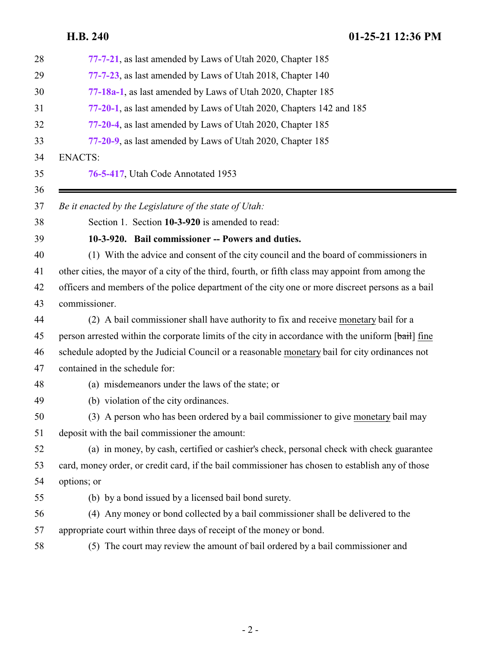<span id="page-1-0"></span>

| 28 | 77-7-21, as last amended by Laws of Utah 2020, Chapter 185                                         |
|----|----------------------------------------------------------------------------------------------------|
| 29 | 77-7-23, as last amended by Laws of Utah 2018, Chapter 140                                         |
| 30 | 77-18a-1, as last amended by Laws of Utah 2020, Chapter 185                                        |
| 31 | 77-20-1, as last amended by Laws of Utah 2020, Chapters 142 and 185                                |
| 32 | 77-20-4, as last amended by Laws of Utah 2020, Chapter 185                                         |
| 33 | 77-20-9, as last amended by Laws of Utah 2020, Chapter 185                                         |
| 34 | <b>ENACTS:</b>                                                                                     |
| 35 | 76-5-417, Utah Code Annotated 1953                                                                 |
| 36 |                                                                                                    |
| 37 | Be it enacted by the Legislature of the state of Utah:                                             |
| 38 | Section 1. Section 10-3-920 is amended to read:                                                    |
| 39 | 10-3-920. Bail commissioner -- Powers and duties.                                                  |
| 40 | (1) With the advice and consent of the city council and the board of commissioners in              |
| 41 | other cities, the mayor of a city of the third, fourth, or fifth class may appoint from among the  |
| 42 | officers and members of the police department of the city one or more discreet persons as a bail   |
| 43 | commissioner.                                                                                      |
| 44 | (2) A bail commissioner shall have authority to fix and receive monetary bail for a                |
| 45 | person arrested within the corporate limits of the city in accordance with the uniform [bail] fine |
| 46 | schedule adopted by the Judicial Council or a reasonable monetary bail for city ordinances not     |
| 47 | contained in the schedule for:                                                                     |
| 48 | (a) misdemeanors under the laws of the state; or                                                   |
| 49 | (b) violation of the city ordinances.                                                              |
| 50 | (3) A person who has been ordered by a bail commissioner to give monetary bail may                 |
| 51 | deposit with the bail commissioner the amount:                                                     |
| 52 | (a) in money, by cash, certified or cashier's check, personal check with check guarantee           |
| 53 | card, money order, or credit card, if the bail commissioner has chosen to establish any of those   |
| 54 | options; or                                                                                        |
| 55 | (b) by a bond issued by a licensed bail bond surety.                                               |
| 56 | (4) Any money or bond collected by a bail commissioner shall be delivered to the                   |
| 57 | appropriate court within three days of receipt of the money or bond.                               |
| 58 | (5) The court may review the amount of bail ordered by a bail commissioner and                     |
|    |                                                                                                    |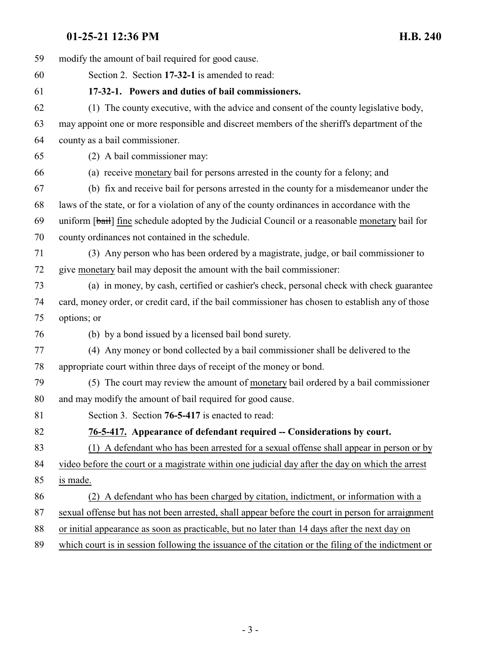<span id="page-2-1"></span><span id="page-2-0"></span>

| 59 | modify the amount of bail required for good cause.                                                  |
|----|-----------------------------------------------------------------------------------------------------|
| 60 | Section 2. Section 17-32-1 is amended to read:                                                      |
| 61 | 17-32-1. Powers and duties of bail commissioners.                                                   |
| 62 | (1) The county executive, with the advice and consent of the county legislative body,               |
| 63 | may appoint one or more responsible and discreet members of the sheriff's department of the         |
| 64 | county as a bail commissioner.                                                                      |
| 65 | (2) A bail commissioner may:                                                                        |
| 66 | (a) receive monetary bail for persons arrested in the county for a felony; and                      |
| 67 | (b) fix and receive bail for persons arrested in the county for a misdemean or under the            |
| 68 | laws of the state, or for a violation of any of the county ordinances in accordance with the        |
| 69 | uniform [bail] fine schedule adopted by the Judicial Council or a reasonable monetary bail for      |
| 70 | county ordinances not contained in the schedule.                                                    |
| 71 | (3) Any person who has been ordered by a magistrate, judge, or bail commissioner to                 |
| 72 | give monetary bail may deposit the amount with the bail commissioner:                               |
| 73 | (a) in money, by cash, certified or cashier's check, personal check with check guarantee            |
| 74 | card, money order, or credit card, if the bail commissioner has chosen to establish any of those    |
| 75 | options; or                                                                                         |
| 76 | (b) by a bond issued by a licensed bail bond surety.                                                |
| 77 | (4) Any money or bond collected by a bail commissioner shall be delivered to the                    |
| 78 | appropriate court within three days of receipt of the money or bond.                                |
| 79 | (5) The court may review the amount of monetary bail ordered by a bail commissioner                 |
| 80 | and may modify the amount of bail required for good cause.                                          |
| 81 | Section 3. Section 76-5-417 is enacted to read:                                                     |
| 82 | 76-5-417. Appearance of defendant required -- Considerations by court.                              |
| 83 | (1) A defendant who has been arrested for a sexual offense shall appear in person or by             |
| 84 | video before the court or a magistrate within one judicial day after the day on which the arrest    |
| 85 | is made.                                                                                            |
| 86 | (2) A defendant who has been charged by citation, indictment, or information with a                 |
| 87 | sexual offense but has not been arrested, shall appear before the court in person for arraignment   |
| 88 | or initial appearance as soon as practicable, but no later than 14 days after the next day on       |
| 89 | which court is in session following the issuance of the citation or the filing of the indictment or |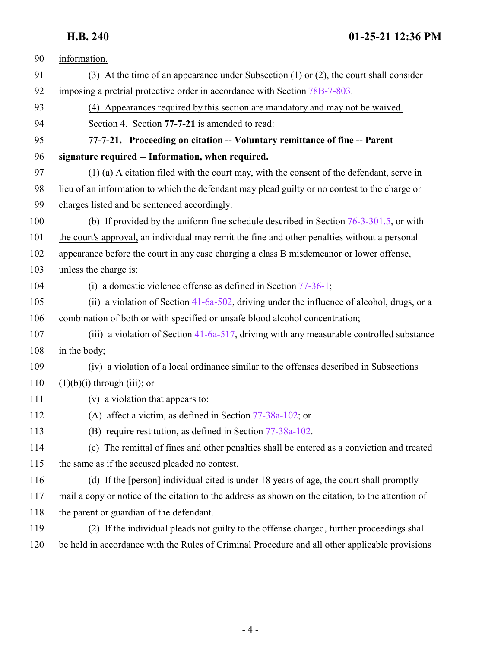<span id="page-3-0"></span>

| 90  | information.                                                                                       |
|-----|----------------------------------------------------------------------------------------------------|
| 91  | (3) At the time of an appearance under Subsection $(1)$ or $(2)$ , the court shall consider        |
| 92  | imposing a pretrial protective order in accordance with Section 78B-7-803.                         |
| 93  | (4) Appearances required by this section are mandatory and may not be waived.                      |
| 94  | Section 4. Section 77-7-21 is amended to read:                                                     |
| 95  | 77-7-21. Proceeding on citation -- Voluntary remittance of fine -- Parent                          |
| 96  | signature required -- Information, when required.                                                  |
| 97  | (1) (a) A citation filed with the court may, with the consent of the defendant, serve in           |
| 98  | lieu of an information to which the defendant may plead guilty or no contest to the charge or      |
| 99  | charges listed and be sentenced accordingly.                                                       |
| 100 | (b) If provided by the uniform fine schedule described in Section $76-3-301.5$ , or with           |
| 101 | the court's approval, an individual may remit the fine and other penalties without a personal      |
| 102 | appearance before the court in any case charging a class B misdemeanor or lower offense,           |
| 103 | unless the charge is:                                                                              |
| 104 | (i) a domestic violence offense as defined in Section $77-36-1$ ;                                  |
| 105 | (ii) a violation of Section 41-6a-502, driving under the influence of alcohol, drugs, or a         |
| 106 | combination of both or with specified or unsafe blood alcohol concentration;                       |
| 107 | (iii) a violation of Section $41-6a-517$ , driving with any measurable controlled substance        |
| 108 | in the body;                                                                                       |
| 109 | (iv) a violation of a local ordinance similar to the offenses described in Subsections             |
| 110 | $(1)(b)(i)$ through $(iii)$ ; or                                                                   |
| 111 | (v) a violation that appears to:                                                                   |
| 112 | (A) affect a victim, as defined in Section $77-38a-102$ ; or                                       |
| 113 | (B) require restitution, as defined in Section 77-38a-102.                                         |
| 114 | (c) The remittal of fines and other penalties shall be entered as a conviction and treated         |
| 115 | the same as if the accused pleaded no contest.                                                     |
| 116 | (d) If the $[person]$ individual cited is under 18 years of age, the court shall promptly          |
| 117 | mail a copy or notice of the citation to the address as shown on the citation, to the attention of |
| 118 | the parent or guardian of the defendant.                                                           |
| 119 | (2) If the individual pleads not guilty to the offense charged, further proceedings shall          |
| 120 | be held in accordance with the Rules of Criminal Procedure and all other applicable provisions     |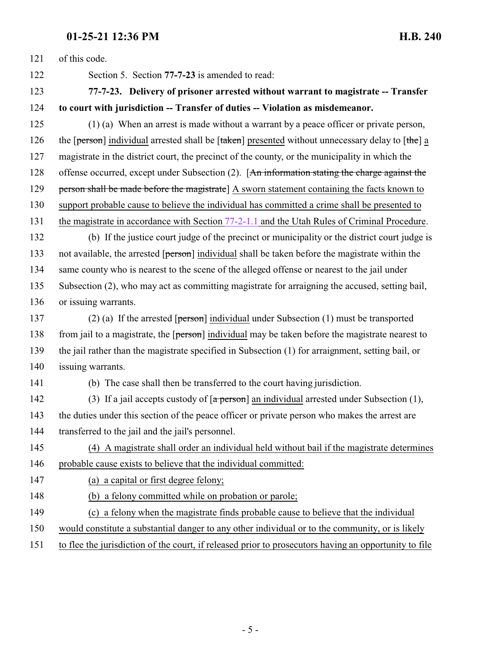<span id="page-4-0"></span>

| 121 | of this code.                                                                                                      |
|-----|--------------------------------------------------------------------------------------------------------------------|
| 122 | Section 5. Section 77-7-23 is amended to read:                                                                     |
| 123 | 77-7-23. Delivery of prisoner arrested without warrant to magistrate -- Transfer                                   |
| 124 | to court with jurisdiction -- Transfer of duties -- Violation as misdemeanor.                                      |
| 125 | (1) (a) When an arrest is made without a warrant by a peace officer or private person,                             |
| 126 | the [person] individual arrested shall be $[\text{taken}]$ presented without unnecessary delay to $[\text{the}]$ a |
| 127 | magistrate in the district court, the precinct of the county, or the municipality in which the                     |
| 128 | offense occurred, except under Subsection (2). [An information stating the charge against the                      |
| 129 | person shall be made before the magistrate] A sworn statement containing the facts known to                        |
| 130 | support probable cause to believe the individual has committed a crime shall be presented to                       |
| 131 | the magistrate in accordance with Section 77-2-1.1 and the Utah Rules of Criminal Procedure.                       |
| 132 | (b) If the justice court judge of the precinct or municipality or the district court judge is                      |
| 133 | not available, the arrested [person] individual shall be taken before the magistrate within the                    |
| 134 | same county who is nearest to the scene of the alleged offense or nearest to the jail under                        |
| 135 | Subsection (2), who may act as committing magistrate for arraigning the accused, setting bail,                     |
| 136 | or issuing warrants.                                                                                               |
| 137 | (2) (a) If the arrested $\lceil$ person individual under Subsection (1) must be transported                        |
| 138 | from jail to a magistrate, the [person] individual may be taken before the magistrate nearest to                   |
| 139 | the jail rather than the magistrate specified in Subsection (1) for arraignment, setting bail, or                  |
| 140 | issuing warrants.                                                                                                  |
| 141 | (b) The case shall then be transferred to the court having jurisdiction.                                           |
| 142 | (3) If a jail accepts custody of $\lceil a \text{ person} \rceil$ an individual arrested under Subsection (1),     |
| 143 | the duties under this section of the peace officer or private person who makes the arrest are                      |
| 144 | transferred to the jail and the jail's personnel.                                                                  |
| 145 | (4) A magistrate shall order an individual held without bail if the magistrate determines                          |
| 146 | probable cause exists to believe that the individual committed:                                                    |
| 147 | (a) a capital or first degree felony;                                                                              |
| 148 | (b) a felony committed while on probation or parole;                                                               |
| 149 | (c) a felony when the magistrate finds probable cause to believe that the individual                               |
| 150 | would constitute a substantial danger to any other individual or to the community, or is likely                    |
| 151 | to flee the jurisdiction of the court, if released prior to prosecutors having an opportunity to file              |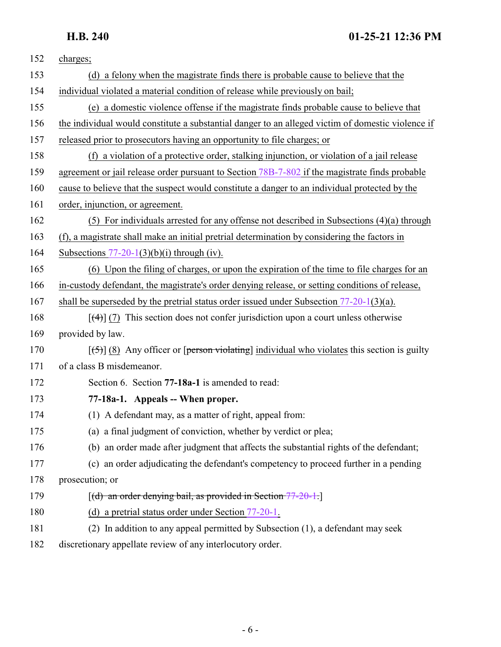| 152 | charges;                                                                                               |
|-----|--------------------------------------------------------------------------------------------------------|
| 153 | (d) a felony when the magistrate finds there is probable cause to believe that the                     |
| 154 | individual violated a material condition of release while previously on bail;                          |
| 155 | (e) a domestic violence offense if the magistrate finds probable cause to believe that                 |
| 156 | the individual would constitute a substantial danger to an alleged victim of domestic violence if      |
| 157 | released prior to prosecutors having an opportunity to file charges; or                                |
| 158 | (f) a violation of a protective order, stalking injunction, or violation of a jail release             |
| 159 | agreement or jail release order pursuant to Section 78B-7-802 if the magistrate finds probable         |
| 160 | cause to believe that the suspect would constitute a danger to an individual protected by the          |
| 161 | order, injunction, or agreement.                                                                       |
| 162 | $(5)$ For individuals arrested for any offense not described in Subsections $(4)(a)$ through           |
| 163 | (f), a magistrate shall make an initial pretrial determination by considering the factors in           |
| 164 | Subsections $77-20-1(3)(b)(i)$ through (iv).                                                           |
| 165 | (6) Upon the filing of charges, or upon the expiration of the time to file charges for an              |
| 166 | in-custody defendant, the magistrate's order denying release, or setting conditions of release,        |
| 167 | shall be superseded by the pretrial status order issued under Subsection $77-20-1(3)(a)$ .             |
| 168 | $\left[\frac{4}{4}\right]$ (7) This section does not confer jurisdiction upon a court unless otherwise |
| 169 | provided by law.                                                                                       |
| 170 | $[56]$ (8) Any officer or [person violating] individual who violates this section is guilty            |
| 171 | of a class B misdemeanor.                                                                              |
| 172 | Section 6. Section 77-18a-1 is amended to read:                                                        |
| 173 | 77-18a-1. Appeals -- When proper.                                                                      |
| 174 | (1) A defendant may, as a matter of right, appeal from:                                                |
| 175 | (a) a final judgment of conviction, whether by verdict or plea;                                        |
| 176 | (b) an order made after judgment that affects the substantial rights of the defendant;                 |
| 177 | (c) an order adjudicating the defendant's competency to proceed further in a pending                   |
| 178 | prosecution; or                                                                                        |
| 179 | $[(d)$ an order denying bail, as provided in Section $77-20-1$ .                                       |
| 180 | (d) a pretrial status order under Section $77-20-1$ .                                                  |
| 181 | (2) In addition to any appeal permitted by Subsection (1), a defendant may seek                        |
|     |                                                                                                        |

<span id="page-5-0"></span>182 discretionary appellate review of any interlocutory order.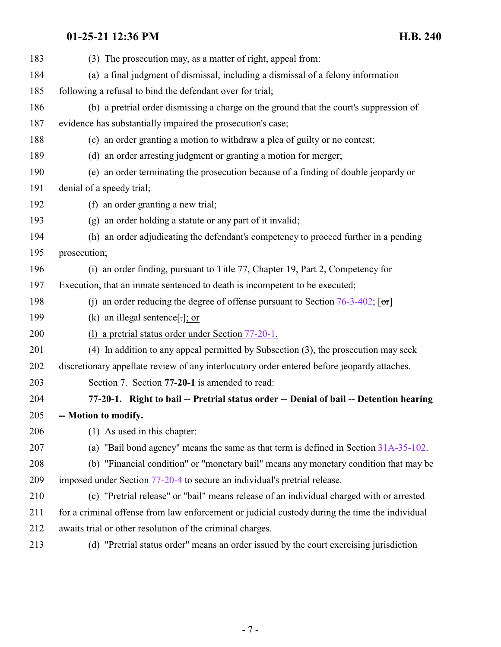<span id="page-6-0"></span>

| 183 | (3) The prosecution may, as a matter of right, appeal from:                                            |
|-----|--------------------------------------------------------------------------------------------------------|
| 184 | (a) a final judgment of dismissal, including a dismissal of a felony information                       |
| 185 | following a refusal to bind the defendant over for trial;                                              |
| 186 | (b) a pretrial order dismissing a charge on the ground that the court's suppression of                 |
| 187 | evidence has substantially impaired the prosecution's case;                                            |
| 188 | (c) an order granting a motion to withdraw a plea of guilty or no contest;                             |
| 189 | (d) an order arresting judgment or granting a motion for merger;                                       |
| 190 | (e) an order terminating the prosecution because of a finding of double jeopardy or                    |
| 191 | denial of a speedy trial;                                                                              |
| 192 | (f) an order granting a new trial;                                                                     |
| 193 | (g) an order holding a statute or any part of it invalid;                                              |
| 194 | (h) an order adjudicating the defendant's competency to proceed further in a pending                   |
| 195 | prosecution;                                                                                           |
| 196 | (i) an order finding, pursuant to Title 77, Chapter 19, Part 2, Competency for                         |
| 197 | Execution, that an inmate sentenced to death is incompetent to be executed;                            |
| 198 | (j) an order reducing the degree of offense pursuant to Section $76-3-402$ ; $\lceil \text{or} \rceil$ |
| 199 | (k) an illegal sentence[ $\cdot$ ]; or                                                                 |
| 200 | (1) a pretrial status order under Section $77-20-1$ .                                                  |
| 201 | (4) In addition to any appeal permitted by Subsection (3), the prosecution may seek                    |
| 202 | discretionary appellate review of any interlocutory order entered before jeopardy attaches.            |
| 203 | Section 7. Section 77-20-1 is amended to read:                                                         |
| 204 | 77-20-1. Right to bail -- Pretrial status order -- Denial of bail -- Detention hearing                 |
| 205 | -- Motion to modify.                                                                                   |
| 206 | (1) As used in this chapter:                                                                           |
| 207 | (a) "Bail bond agency" means the same as that term is defined in Section $31A-35-102$ .                |
| 208 | (b) "Financial condition" or "monetary bail" means any monetary condition that may be                  |
| 209 | imposed under Section 77-20-4 to secure an individual's pretrial release.                              |
| 210 | (c) "Pretrial release" or "bail" means release of an individual charged with or arrested               |
| 211 | for a criminal offense from law enforcement or judicial custody during the time the individual         |
| 212 | awaits trial or other resolution of the criminal charges.                                              |
| 213 | (d) "Pretrial status order" means an order issued by the court exercising jurisdiction                 |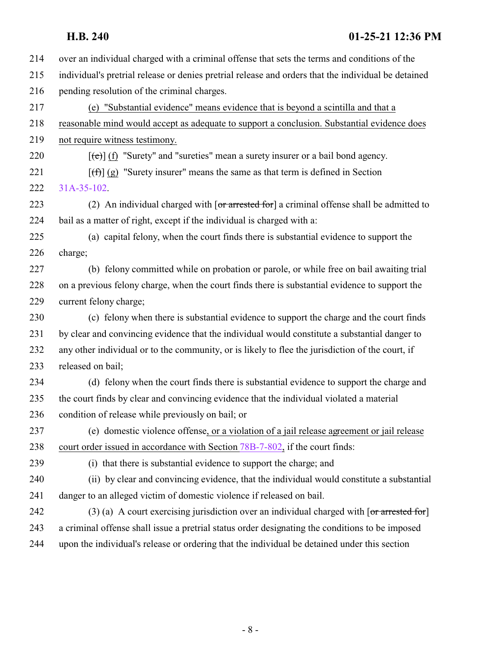| 214 | over an individual charged with a criminal offense that sets the terms and conditions of the                           |
|-----|------------------------------------------------------------------------------------------------------------------------|
| 215 | individual's pretrial release or denies pretrial release and orders that the individual be detained                    |
| 216 | pending resolution of the criminal charges.                                                                            |
| 217 | (e) "Substantial evidence" means evidence that is beyond a scintilla and that a                                        |
| 218 | reasonable mind would accept as adequate to support a conclusion. Substantial evidence does                            |
| 219 | not require witness testimony.                                                                                         |
| 220 | $[\text{e}(\text{e})]$ (f) "Surety" and "sureties" mean a surety insurer or a bail bond agency.                        |
| 221 | $[f(f)]$ (g) "Surety insurer" means the same as that term is defined in Section                                        |
| 222 | 31A-35-102.                                                                                                            |
| 223 | (2) An individual charged with $\sigma$ arrested for a criminal offense shall be admitted to                           |
| 224 | bail as a matter of right, except if the individual is charged with a:                                                 |
| 225 | (a) capital felony, when the court finds there is substantial evidence to support the                                  |
| 226 | charge;                                                                                                                |
| 227 | (b) felony committed while on probation or parole, or while free on bail awaiting trial                                |
| 228 | on a previous felony charge, when the court finds there is substantial evidence to support the                         |
| 229 | current felony charge;                                                                                                 |
| 230 | (c) felony when there is substantial evidence to support the charge and the court finds                                |
| 231 | by clear and convincing evidence that the individual would constitute a substantial danger to                          |
| 232 | any other individual or to the community, or is likely to flee the jurisdiction of the court, if                       |
| 233 | released on bail;                                                                                                      |
| 234 | (d) felony when the court finds there is substantial evidence to support the charge and                                |
| 235 | the court finds by clear and convincing evidence that the individual violated a material                               |
| 236 | condition of release while previously on bail; or                                                                      |
| 237 | (e) domestic violence offense, or a violation of a jail release agreement or jail release                              |
| 238 | court order issued in accordance with Section 78B-7-802, if the court finds:                                           |
| 239 | (i) that there is substantial evidence to support the charge; and                                                      |
| 240 | (ii) by clear and convincing evidence, that the individual would constitute a substantial                              |
| 241 | danger to an alleged victim of domestic violence if released on bail.                                                  |
| 242 | (3) (a) A court exercising jurisdiction over an individual charged with $\lceil \text{or } \text{arrested for} \rceil$ |
| 243 | a criminal offense shall issue a pretrial status order designating the conditions to be imposed                        |
| 244 | upon the individual's release or ordering that the individual be detained under this section                           |
|     |                                                                                                                        |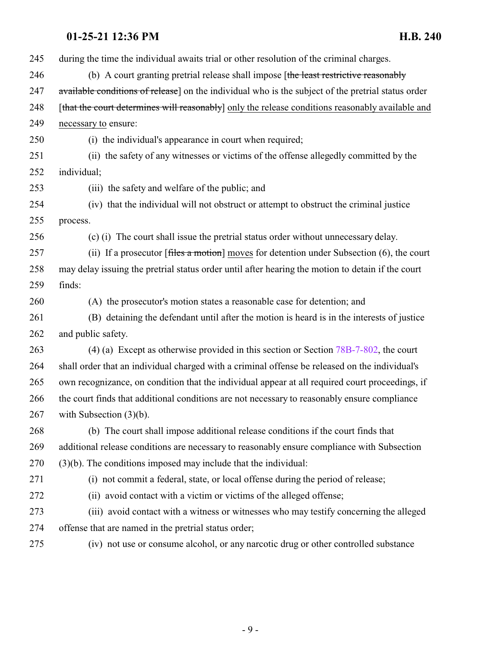during the time the individual awaits trial or other resolution of the criminal charges. 246 (b) A court granting pretrial release shall impose [the least restrictive reasonably 247 available conditions of release] on the individual who is the subject of the pretrial status order 248 [that the court determines will reasonably] only the release conditions reasonably available and necessary to ensure: (i) the individual's appearance in court when required; (ii) the safety of any witnesses or victims of the offense allegedly committed by the individual; (iii) the safety and welfare of the public; and (iv) that the individual will not obstruct or attempt to obstruct the criminal justice process. (c) (i) The court shall issue the pretrial status order without unnecessary delay. 257 (ii) If a prosecutor [files a motion] moves for detention under Subsection (6), the court may delay issuing the pretrial status order until after hearing the motion to detain if the court finds: (A) the prosecutor's motion states a reasonable case for detention; and (B) detaining the defendant until after the motion is heard is in the interests of justice and public safety. 263 (4) (a) Except as otherwise provided in this section or Section [78B-7-802](http://le.utah.gov/UtahCode/SectionLookup.jsp?section=78b-7-802&session=2021GS), the court shall order that an individual charged with a criminal offense be released on the individual's own recognizance, on condition that the individual appear at all required court proceedings, if the court finds that additional conditions are not necessary to reasonably ensure compliance with Subsection (3)(b). (b) The court shall impose additional release conditions if the court finds that additional release conditions are necessary to reasonably ensure compliance with Subsection (3)(b). The conditions imposed may include that the individual: (i) not commit a federal, state, or local offense during the period of release; (ii) avoid contact with a victim or victims of the alleged offense; (iii) avoid contact with a witness or witnesses who may testify concerning the alleged offense that are named in the pretrial status order; (iv) not use or consume alcohol, or any narcotic drug or other controlled substance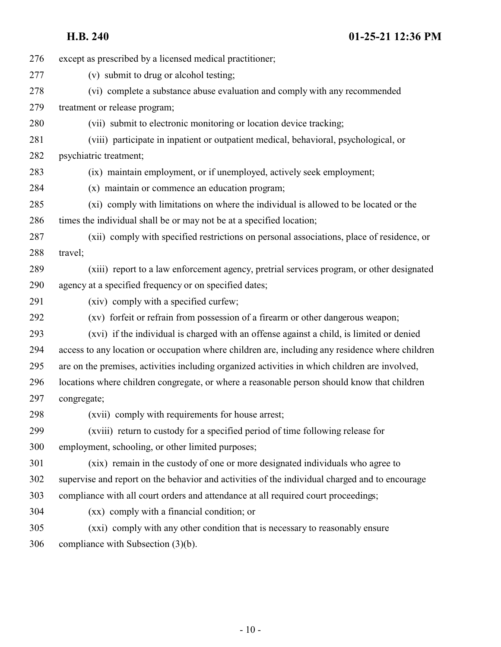| 276 | except as prescribed by a licensed medical practitioner;                                        |
|-----|-------------------------------------------------------------------------------------------------|
| 277 | (v) submit to drug or alcohol testing;                                                          |
| 278 | (vi) complete a substance abuse evaluation and comply with any recommended                      |
| 279 | treatment or release program;                                                                   |
| 280 | (vii) submit to electronic monitoring or location device tracking;                              |
| 281 | (viii) participate in inpatient or outpatient medical, behavioral, psychological, or            |
| 282 | psychiatric treatment;                                                                          |
| 283 | (ix) maintain employment, or if unemployed, actively seek employment;                           |
| 284 | (x) maintain or commence an education program;                                                  |
| 285 | (xi) comply with limitations on where the individual is allowed to be located or the            |
| 286 | times the individual shall be or may not be at a specified location;                            |
| 287 | (xii) comply with specified restrictions on personal associations, place of residence, or       |
| 288 | travel;                                                                                         |
| 289 | (xiii) report to a law enforcement agency, pretrial services program, or other designated       |
| 290 | agency at a specified frequency or on specified dates;                                          |
| 291 | (xiv) comply with a specified curfew;                                                           |
| 292 | (xv) forfeit or refrain from possession of a firearm or other dangerous weapon;                 |
| 293 | (xvi) if the individual is charged with an offense against a child, is limited or denied        |
| 294 | access to any location or occupation where children are, including any residence where children |
| 295 | are on the premises, activities including organized activities in which children are involved,  |
| 296 | locations where children congregate, or where a reasonable person should know that children     |
| 297 | congregate;                                                                                     |
| 298 | (xvii) comply with requirements for house arrest;                                               |
| 299 | (xviii) return to custody for a specified period of time following release for                  |
| 300 | employment, schooling, or other limited purposes;                                               |
| 301 | (xix) remain in the custody of one or more designated individuals who agree to                  |
| 302 | supervise and report on the behavior and activities of the individual charged and to encourage  |
| 303 | compliance with all court orders and attendance at all required court proceedings;              |
| 304 | (xx) comply with a financial condition; or                                                      |
| 305 | (xxi) comply with any other condition that is necessary to reasonably ensure                    |
| 306 | compliance with Subsection $(3)(b)$ .                                                           |
|     |                                                                                                 |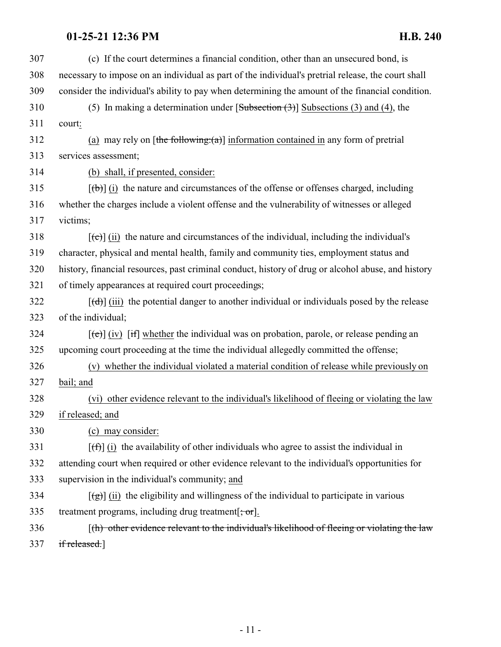| 307 | (c) If the court determines a financial condition, other than an unsecured bond, is                                 |
|-----|---------------------------------------------------------------------------------------------------------------------|
| 308 | necessary to impose on an individual as part of the individual's pretrial release, the court shall                  |
| 309 | consider the individual's ability to pay when determining the amount of the financial condition.                    |
| 310 | (5) In making a determination under $[Subsection (3)]$ Subsections (3) and (4), the                                 |
| 311 | court:                                                                                                              |
| 312 | (a) may rely on $[\frac{\text{the following:(a)}}{\text{information contained in any form of the pre-$              |
| 313 | services assessment;                                                                                                |
| 314 | (b) shall, if presented, consider:                                                                                  |
| 315 | $[\phi]$ (i) the nature and circumstances of the offense or offenses charged, including                             |
| 316 | whether the charges include a violent offense and the vulnerability of witnesses or alleged                         |
| 317 | victims;                                                                                                            |
| 318 | $[\text{e}(\text{e})]$ (ii) the nature and circumstances of the individual, including the individual's              |
| 319 | character, physical and mental health, family and community ties, employment status and                             |
| 320 | history, financial resources, past criminal conduct, history of drug or alcohol abuse, and history                  |
| 321 | of timely appearances at required court proceedings;                                                                |
| 322 | $[\text{+}d\text{+}d\text{+}]$ (iii) the potential danger to another individual or individuals posed by the release |
| 323 | of the individual;                                                                                                  |
| 324 | $[\text{e}(\text{e})]$ (iv) [if] whether the individual was on probation, parole, or release pending an             |
| 325 | upcoming court proceeding at the time the individual allegedly committed the offense;                               |
| 326 | (v) whether the individual violated a material condition of release while previously on                             |
| 327 | bail; and                                                                                                           |
| 328 | (vi) other evidence relevant to the individual's likelihood of fleeing or violating the law                         |
| 329 | if released; and                                                                                                    |
| 330 | (c) may consider:                                                                                                   |
| 331 | $[f(f)]$ (i) the availability of other individuals who agree to assist the individual in                            |
| 332 | attending court when required or other evidence relevant to the individual's opportunities for                      |
| 333 | supervision in the individual's community; and                                                                      |
| 334 | $\left[\frac{1}{2}\right]$ (ii) the eligibility and willingness of the individual to participate in various         |
| 335 | treatment programs, including drug treatment $[\frac{\cdot}{\cdot} \text{ or}]$ .                                   |
| 336 | $\lceil$ (h) other evidence relevant to the individual's likelihood of fleeing or violating the law                 |
| 337 | if released.]                                                                                                       |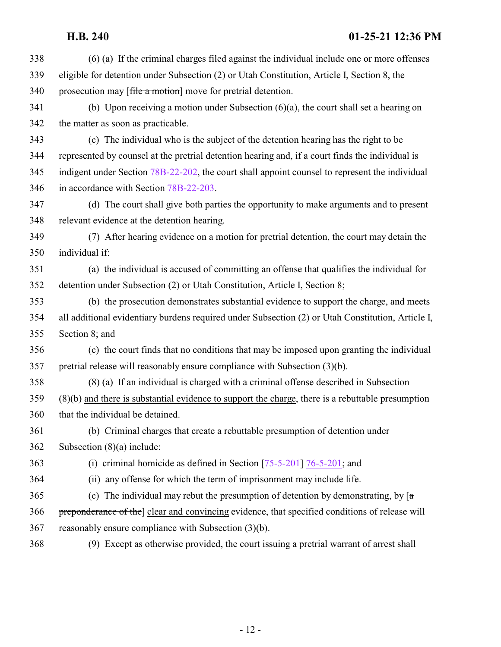| 338 | (6) (a) If the criminal charges filed against the individual include one or more offenses           |
|-----|-----------------------------------------------------------------------------------------------------|
| 339 | eligible for detention under Subsection (2) or Utah Constitution, Article I, Section 8, the         |
| 340 | prosecution may [file a motion] move for pretrial detention.                                        |
| 341 | (b) Upon receiving a motion under Subsection $(6)(a)$ , the court shall set a hearing on            |
| 342 | the matter as soon as practicable.                                                                  |
| 343 | (c) The individual who is the subject of the detention hearing has the right to be                  |
| 344 | represented by counsel at the pretrial detention hearing and, if a court finds the individual is    |
| 345 | indigent under Section 78B-22-202, the court shall appoint counsel to represent the individual      |
| 346 | in accordance with Section 78B-22-203.                                                              |
| 347 | (d) The court shall give both parties the opportunity to make arguments and to present              |
| 348 | relevant evidence at the detention hearing.                                                         |
| 349 | (7) After hearing evidence on a motion for pretrial detention, the court may detain the             |
| 350 | individual if:                                                                                      |
| 351 | (a) the individual is accused of committing an offense that qualifies the individual for            |
| 352 | detention under Subsection (2) or Utah Constitution, Article I, Section 8;                          |
| 353 | (b) the prosecution demonstrates substantial evidence to support the charge, and meets              |
| 354 | all additional evidentiary burdens required under Subsection (2) or Utah Constitution, Article I,   |
| 355 | Section 8; and                                                                                      |
| 356 | (c) the court finds that no conditions that may be imposed upon granting the individual             |
| 357 | pretrial release will reasonably ensure compliance with Subsection $(3)(b)$ .                       |
| 358 | (8) (a) If an individual is charged with a criminal offense described in Subsection                 |
| 359 | $(8)(b)$ and there is substantial evidence to support the charge, there is a rebuttable presumption |
| 360 | that the individual be detained.                                                                    |
| 361 | (b) Criminal charges that create a rebuttable presumption of detention under                        |
| 362 | Subsection $(8)(a)$ include:                                                                        |
| 363 | (i) criminal homicide as defined in Section $[75-5-201]$ 76-5-201; and                              |
| 364 | (ii) any offense for which the term of imprisonment may include life.                               |
| 365 | (c) The individual may rebut the presumption of detention by demonstrating, by $\lceil a \rceil$    |
| 366 | preponderance of the clear and convincing evidence, that specified conditions of release will       |
| 367 | reasonably ensure compliance with Subsection (3)(b).                                                |
| 368 | (9) Except as otherwise provided, the court issuing a pretrial warrant of arrest shall              |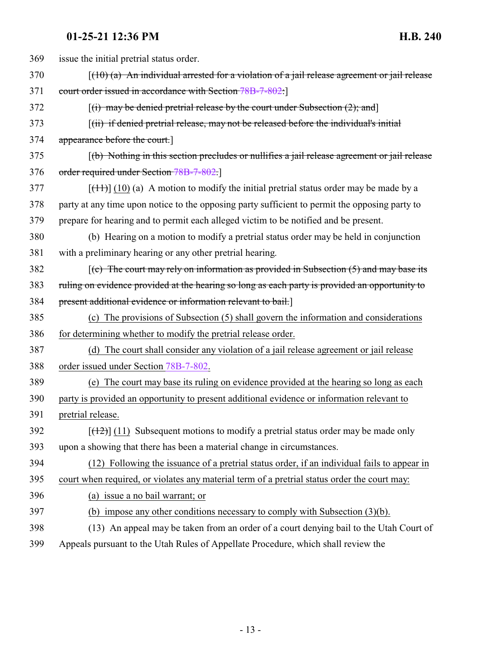| 369 | issue the initial pretrial status order.                                                                   |
|-----|------------------------------------------------------------------------------------------------------------|
| 370 | $(10)$ (a) An individual arrested for a violation of a jail release agreement or jail release              |
| 371 | court order issued in accordance with Section 78B-7-802.]                                                  |
| 372 | $[(i)$ may be denied pretrial release by the court under Subsection $(2)$ ; and                            |
| 373 | $\left[\right(\text{iii})$ if denied pretrial release, may not be released before the individual's initial |
| 374 | appearance before the court.]                                                                              |
| 375 | $\lceil$ (b) Nothing in this section precludes or nullifies a jail release agreement or jail release       |
| 376 | order required under Section 78B-7-802.                                                                    |
| 377 | $[\frac{(11)}{(10)}]$ (10) (a) A motion to modify the initial pretrial status order may be made by a       |
| 378 | party at any time upon notice to the opposing party sufficient to permit the opposing party to             |
| 379 | prepare for hearing and to permit each alleged victim to be notified and be present.                       |
| 380 | (b) Hearing on a motion to modify a pretrial status order may be held in conjunction                       |
| 381 | with a preliminary hearing or any other pretrial hearing.                                                  |
| 382 | $(c)$ The court may rely on information as provided in Subsection $(5)$ and may base its                   |
| 383 | ruling on evidence provided at the hearing so long as each party is provided an opportunity to             |
| 384 | present additional evidence or information relevant to bail.]                                              |
| 385 | (c) The provisions of Subsection (5) shall govern the information and considerations                       |
| 386 | for determining whether to modify the pretrial release order.                                              |
| 387 | (d) The court shall consider any violation of a jail release agreement or jail release                     |
| 388 | order issued under Section 78B-7-802.                                                                      |
| 389 | (e) The court may base its ruling on evidence provided at the hearing so long as each                      |
| 390 | party is provided an opportunity to present additional evidence or information relevant to                 |
| 391 | pretrial release.                                                                                          |
| 392 | $[ (12) ]$ (11) Subsequent motions to modify a pretrial status order may be made only                      |
| 393 | upon a showing that there has been a material change in circumstances.                                     |
| 394 | (12) Following the issuance of a pretrial status order, if an individual fails to appear in                |
| 395 | court when required, or violates any material term of a pretrial status order the court may:               |
| 396 | (a) issue a no bail warrant; or                                                                            |
| 397 | (b) impose any other conditions necessary to comply with Subsection (3)(b).                                |
| 398 | (13) An appeal may be taken from an order of a court denying bail to the Utah Court of                     |
| 399 | Appeals pursuant to the Utah Rules of Appellate Procedure, which shall review the                          |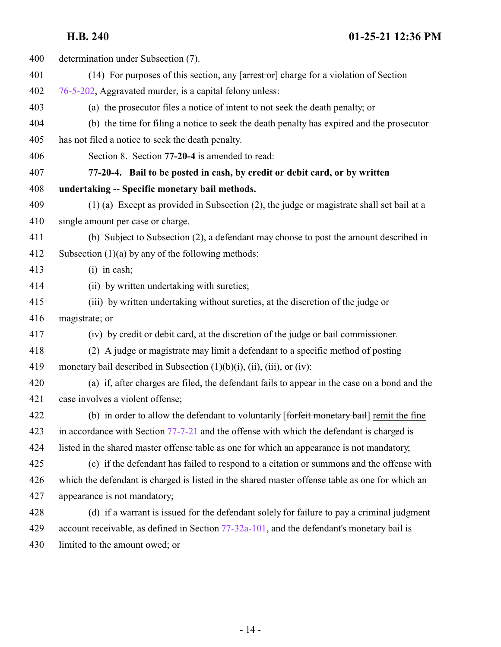<span id="page-13-0"></span>

| 400 | determination under Subsection (7).                                                                                                 |
|-----|-------------------------------------------------------------------------------------------------------------------------------------|
| 401 | (14) For purposes of this section, any $\left[ \frac{\text{arrest of}}{\text{errest of}} \right]$ charge for a violation of Section |
| 402 | 76-5-202, Aggravated murder, is a capital felony unless:                                                                            |
| 403 | (a) the prosecutor files a notice of intent to not seek the death penalty; or                                                       |
| 404 | (b) the time for filing a notice to seek the death penalty has expired and the prosecutor                                           |
| 405 | has not filed a notice to seek the death penalty.                                                                                   |
| 406 | Section 8. Section 77-20-4 is amended to read:                                                                                      |
| 407 | 77-20-4. Bail to be posted in cash, by credit or debit card, or by written                                                          |
| 408 | undertaking -- Specific monetary bail methods.                                                                                      |
| 409 | (1) (a) Except as provided in Subsection (2), the judge or magistrate shall set bail at a                                           |
| 410 | single amount per case or charge.                                                                                                   |
| 411 | (b) Subject to Subsection (2), a defendant may choose to post the amount described in                                               |
| 412 | Subsection $(1)(a)$ by any of the following methods:                                                                                |
| 413 | $(i)$ in cash;                                                                                                                      |
| 414 | (ii) by written undertaking with sureties;                                                                                          |
| 415 | (iii) by written undertaking without sureties, at the discretion of the judge or                                                    |
| 416 | magistrate; or                                                                                                                      |
| 417 | (iv) by credit or debit card, at the discretion of the judge or bail commissioner.                                                  |
| 418 | (2) A judge or magistrate may limit a defendant to a specific method of posting                                                     |
| 419 | monetary bail described in Subsection $(1)(b)(i)$ , $(ii)$ , $(iii)$ , or $(iv)$ :                                                  |
| 420 | (a) if, after charges are filed, the defendant fails to appear in the case on a bond and the                                        |
| 421 | case involves a violent offense;                                                                                                    |
| 422 | (b) in order to allow the defendant to voluntarily [forfeit monetary bail] remit the fine                                           |
| 423 | in accordance with Section 77-7-21 and the offense with which the defendant is charged is                                           |
| 424 | listed in the shared master offense table as one for which an appearance is not mandatory,                                          |
| 425 | (c) if the defendant has failed to respond to a citation or summons and the offense with                                            |
| 426 | which the defendant is charged is listed in the shared master offense table as one for which an                                     |
| 427 | appearance is not mandatory;                                                                                                        |
| 428 | (d) if a warrant is issued for the defendant solely for failure to pay a criminal judgment                                          |
| 429 | account receivable, as defined in Section 77-32a-101, and the defendant's monetary bail is                                          |
| 430 | limited to the amount owed; or                                                                                                      |

- 14 -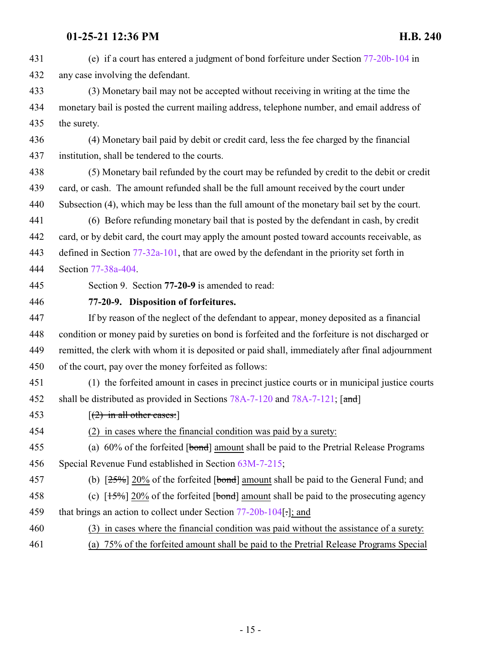<span id="page-14-0"></span>

| 431 | (e) if a court has entered a judgment of bond forfeiture under Section 77-20b-104 in             |
|-----|--------------------------------------------------------------------------------------------------|
| 432 | any case involving the defendant.                                                                |
| 433 | (3) Monetary bail may not be accepted without receiving in writing at the time the               |
| 434 | monetary bail is posted the current mailing address, telephone number, and email address of      |
| 435 | the surety.                                                                                      |
| 436 | (4) Monetary bail paid by debit or credit card, less the fee charged by the financial            |
| 437 | institution, shall be tendered to the courts.                                                    |
| 438 | (5) Monetary bail refunded by the court may be refunded by credit to the debit or credit         |
| 439 | card, or cash. The amount refunded shall be the full amount received by the court under          |
| 440 | Subsection (4), which may be less than the full amount of the monetary bail set by the court.    |
| 441 | (6) Before refunding monetary bail that is posted by the defendant in cash, by credit            |
| 442 | card, or by debit card, the court may apply the amount posted toward accounts receivable, as     |
| 443 | defined in Section $77-32a-101$ , that are owed by the defendant in the priority set forth in    |
| 444 | Section 77-38a-404.                                                                              |
| 445 | Section 9. Section 77-20-9 is amended to read:                                                   |
| 446 | 77-20-9. Disposition of forfeitures.                                                             |
| 447 | If by reason of the neglect of the defendant to appear, money deposited as a financial           |
| 448 | condition or money paid by sureties on bond is forfeited and the forfeiture is not discharged or |
| 449 | remitted, the clerk with whom it is deposited or paid shall, immediately after final adjournment |
| 450 | of the court, pay over the money forfeited as follows:                                           |
| 451 | (1) the forfeited amount in cases in precinct justice courts or in municipal justice courts      |
| 452 | shall be distributed as provided in Sections 78A-7-120 and 78A-7-121; [and]                      |
| 453 | $(2)$ in all other cases:                                                                        |
| 454 | in cases where the financial condition was paid by a surety:                                     |
| 455 | (a) $60\%$ of the forfeited [bond] amount shall be paid to the Pretrial Release Programs         |
| 456 | Special Revenue Fund established in Section 63M-7-215;                                           |
| 457 | (b) $[25\%]$ 20% of the forfeited [bond] amount shall be paid to the General Fund; and           |
| 458 | (c) $[15\%]$ 20% of the forfeited [bond] amount shall be paid to the prosecuting agency          |
| 459 | that brings an action to collect under Section $77-20b-104$ .]; and                              |
| 460 | (3) in cases where the financial condition was paid without the assistance of a surety.          |
| 461 | (a) 75% of the forfeited amount shall be paid to the Pretrial Release Programs Special           |
|     |                                                                                                  |